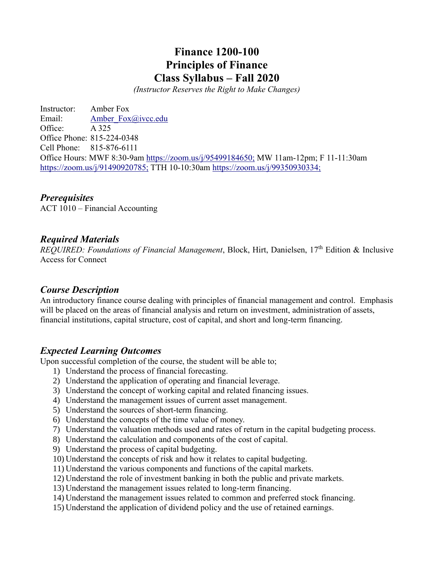# **Finance 1200-100 Principles of Finance Class Syllabus – Fall 2020**

*(Instructor Reserves the Right to Make Changes)*

Instructor: Amber Fox Email: Amber Fox@ivcc.edu Office: A 325 Office Phone: 815-224-0348 Cell Phone: 815-876-6111 Office Hours: MWF 8:30-9am<https://zoom.us/j/95499184650;> MW 11am-12pm; F 11-11:30am <https://zoom.us/j/91490920785;> TTH 10-10:30am<https://zoom.us/j/99350930334;>

### *Prerequisites*

ACT 1010 – Financial Accounting

### *Required Materials*

*REQUIRED: Foundations of Financial Management*, Block, Hirt, Danielsen, 17<sup>th</sup> Edition & Inclusive Access for Connect

### *Course Description*

An introductory finance course dealing with principles of financial management and control. Emphasis will be placed on the areas of financial analysis and return on investment, administration of assets, financial institutions, capital structure, cost of capital, and short and long-term financing.

#### *Expected Learning Outcomes*

Upon successful completion of the course, the student will be able to;

- 1) Understand the process of financial forecasting.
- 2) Understand the application of operating and financial leverage.
- 3) Understand the concept of working capital and related financing issues.
- 4) Understand the management issues of current asset management.
- 5) Understand the sources of short-term financing.
- 6) Understand the concepts of the time value of money.
- 7) Understand the valuation methods used and rates of return in the capital budgeting process.
- 8) Understand the calculation and components of the cost of capital.
- 9) Understand the process of capital budgeting.
- 10) Understand the concepts of risk and how it relates to capital budgeting.
- 11) Understand the various components and functions of the capital markets.
- 12) Understand the role of investment banking in both the public and private markets.
- 13) Understand the management issues related to long-term financing.
- 14) Understand the management issues related to common and preferred stock financing.
- 15) Understand the application of dividend policy and the use of retained earnings.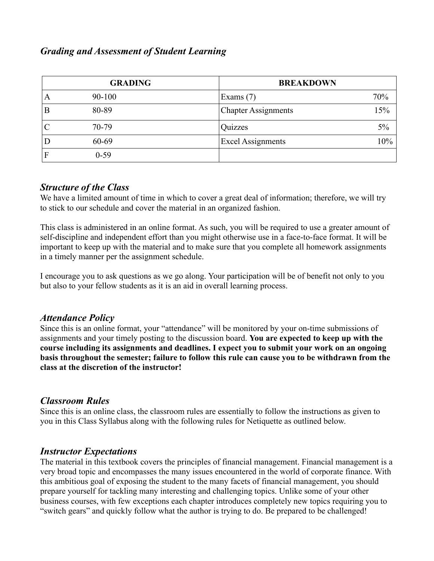## *Grading and Assessment of Student Learning*

| <b>GRADING</b> |          |                            | <b>BREAKDOWN</b> |  |
|----------------|----------|----------------------------|------------------|--|
| A              | 90-100   | Exams $(7)$                | 70%              |  |
| Β              | 80-89    | <b>Chapter Assignments</b> | $5\%$            |  |
|                | 70-79    | Quizzes                    | 5%               |  |
| Ð              | 60-69    | <b>Excel Assignments</b>   | $10\%$           |  |
| F              | $0 - 59$ |                            |                  |  |

### *Structure of the Class*

We have a limited amount of time in which to cover a great deal of information; therefore, we will try to stick to our schedule and cover the material in an organized fashion.

This class is administered in an online format. As such, you will be required to use a greater amount of self-discipline and independent effort than you might otherwise use in a face-to-face format. It will be important to keep up with the material and to make sure that you complete all homework assignments in a timely manner per the assignment schedule.

I encourage you to ask questions as we go along. Your participation will be of benefit not only to you but also to your fellow students as it is an aid in overall learning process.

### *Attendance Policy*

Since this is an online format, your "attendance" will be monitored by your on-time submissions of assignments and your timely posting to the discussion board. **You are expected to keep up with the course including its assignments and deadlines. I expect you to submit your work on an ongoing basis throughout the semester; failure to follow this rule can cause you to be withdrawn from the class at the discretion of the instructor!**

### *Classroom Rules*

Since this is an online class, the classroom rules are essentially to follow the instructions as given to you in this Class Syllabus along with the following rules for Netiquette as outlined below.

## *Instructor Expectations*

The material in this textbook covers the principles of financial management. Financial management is a very broad topic and encompasses the many issues encountered in the world of corporate finance. With this ambitious goal of exposing the student to the many facets of financial management, you should prepare yourself for tackling many interesting and challenging topics. Unlike some of your other business courses, with few exceptions each chapter introduces completely new topics requiring you to "switch gears" and quickly follow what the author is trying to do. Be prepared to be challenged!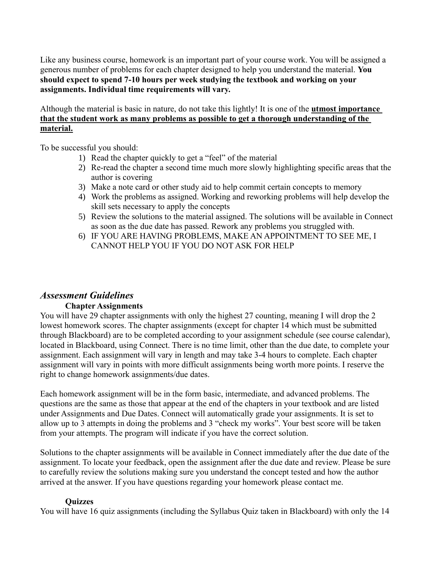Like any business course, homework is an important part of your course work. You will be assigned a generous number of problems for each chapter designed to help you understand the material. **You should expect to spend 7-10 hours per week studying the textbook and working on your assignments. Individual time requirements will vary.**

Although the material is basic in nature, do not take this lightly! It is one of the **utmost importance that the student work as many problems as possible to get a thorough understanding of the material.**

To be successful you should:

- 1) Read the chapter quickly to get a "feel" of the material
- 2) Re-read the chapter a second time much more slowly highlighting specific areas that the author is covering
- 3) Make a note card or other study aid to help commit certain concepts to memory
- 4) Work the problems as assigned. Working and reworking problems will help develop the skill sets necessary to apply the concepts
- 5) Review the solutions to the material assigned. The solutions will be available in Connect as soon as the due date has passed. Rework any problems you struggled with.
- 6) IF YOU ARE HAVING PROBLEMS, MAKE AN APPOINTMENT TO SEE ME, I CANNOT HELP YOU IF YOU DO NOT ASK FOR HELP

## *Assessment Guidelines*

#### **Chapter Assignments**

You will have 29 chapter assignments with only the highest 27 counting, meaning I will drop the 2 lowest homework scores. The chapter assignments (except for chapter 14 which must be submitted through Blackboard) are to be completed according to your assignment schedule (see course calendar), located in Blackboard, using Connect. There is no time limit, other than the due date, to complete your assignment. Each assignment will vary in length and may take 3-4 hours to complete. Each chapter assignment will vary in points with more difficult assignments being worth more points. I reserve the right to change homework assignments/due dates.

Each homework assignment will be in the form basic, intermediate, and advanced problems. The questions are the same as those that appear at the end of the chapters in your textbook and are listed under Assignments and Due Dates. Connect will automatically grade your assignments. It is set to allow up to 3 attempts in doing the problems and 3 "check my works". Your best score will be taken from your attempts. The program will indicate if you have the correct solution.

Solutions to the chapter assignments will be available in Connect immediately after the due date of the assignment. To locate your feedback, open the assignment after the due date and review. Please be sure to carefully review the solutions making sure you understand the concept tested and how the author arrived at the answer. If you have questions regarding your homework please contact me.

#### **Quizzes**

You will have 16 quiz assignments (including the Syllabus Quiz taken in Blackboard) with only the 14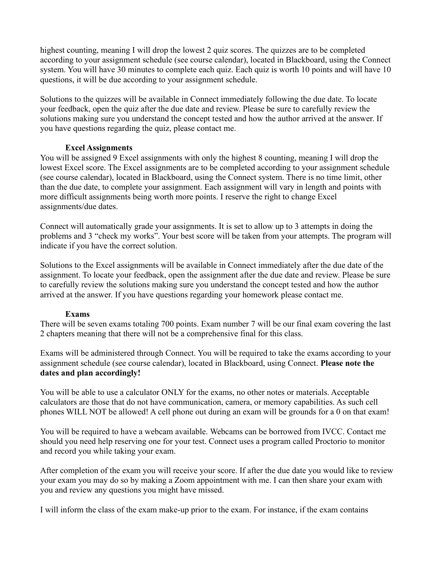highest counting, meaning I will drop the lowest 2 quiz scores. The quizzes are to be completed according to your assignment schedule (see course calendar), located in Blackboard, using the Connect system. You will have 30 minutes to complete each quiz. Each quiz is worth 10 points and will have 10 questions, it will be due according to your assignment schedule.

Solutions to the quizzes will be available in Connect immediately following the due date. To locate your feedback, open the quiz after the due date and review. Please be sure to carefully review the solutions making sure you understand the concept tested and how the author arrived at the answer. If you have questions regarding the quiz, please contact me.

#### **Excel Assignments**

You will be assigned 9 Excel assignments with only the highest 8 counting, meaning I will drop the lowest Excel score. The Excel assignments are to be completed according to your assignment schedule (see course calendar), located in Blackboard, using the Connect system. There is no time limit, other than the due date, to complete your assignment. Each assignment will vary in length and points with more difficult assignments being worth more points. I reserve the right to change Excel assignments/due dates.

Connect will automatically grade your assignments. It is set to allow up to 3 attempts in doing the problems and 3 "check my works". Your best score will be taken from your attempts. The program will indicate if you have the correct solution.

Solutions to the Excel assignments will be available in Connect immediately after the due date of the assignment. To locate your feedback, open the assignment after the due date and review. Please be sure to carefully review the solutions making sure you understand the concept tested and how the author arrived at the answer. If you have questions regarding your homework please contact me.

#### **Exams**

There will be seven exams totaling 700 points. Exam number 7 will be our final exam covering the last 2 chapters meaning that there will not be a comprehensive final for this class.

Exams will be administered through Connect. You will be required to take the exams according to your assignment schedule (see course calendar), located in Blackboard, using Connect. **Please note the dates and plan accordingly!** 

You will be able to use a calculator ONLY for the exams, no other notes or materials. Acceptable calculators are those that do not have communication, camera, or memory capabilities. As such cell phones WILL NOT be allowed! A cell phone out during an exam will be grounds for a 0 on that exam!

You will be required to have a webcam available. Webcams can be borrowed from IVCC. Contact me should you need help reserving one for your test. Connect uses a program called Proctorio to monitor and record you while taking your exam.

After completion of the exam you will receive your score. If after the due date you would like to review your exam you may do so by making a Zoom appointment with me. I can then share your exam with you and review any questions you might have missed.

I will inform the class of the exam make-up prior to the exam. For instance, if the exam contains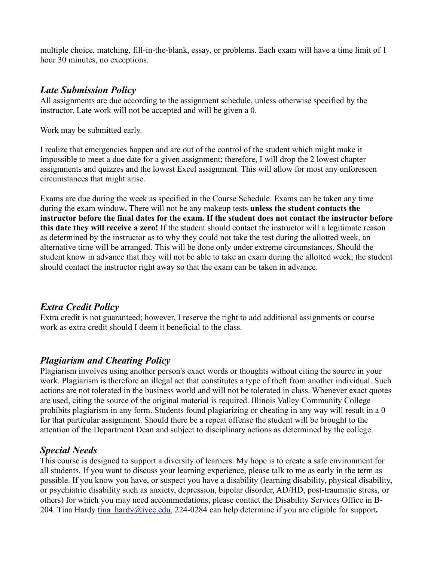multiple choice, matching, fill-in-the-blank, essay, or problems. Each exam will have a time limit of 1 hour 30 minutes, no exceptions.

## *Late Submission Policy*

All assignments are due according to the assignment schedule, unless otherwise specified by the instructor. Late work will not be accepted and will be given a 0.

Work may be submitted early.

I realize that emergencies happen and are out of the control of the student which might make it impossible to meet a due date for a given assignment; therefore, I will drop the 2 lowest chapter assignments and quizzes and the lowest Excel assignment. This will allow for most any unforeseen circumstances that might arise.

Exams are due during the week as specified in the Course Schedule. Exams can be taken any time during the exam window**.** There will not be any makeup tests **unless the student contacts the instructor before the final dates for the exam. If the student does not contact the instructor before this date they will receive a zero!** If the student should contact the instructor will a legitimate reason as determined by the instructor as to why they could not take the test during the allotted week, an alternative time will be arranged. This will be done only under extreme circumstances. Should the student know in advance that they will not be able to take an exam during the allotted week; the student should contact the instructor right away so that the exam can be taken in advance.

## *Extra Credit Policy*

Extra credit is not guaranteed; however, I reserve the right to add additional assignments or course work as extra credit should I deem it beneficial to the class.

## *Plagiarism and Cheating Policy*

Plagiarism involves using another person's exact words or thoughts without citing the source in your work. Plagiarism is therefore an illegal act that constitutes a type of theft from another individual. Such actions are not tolerated in the business world and will not be tolerated in class. Whenever exact quotes are used, citing the source of the original material is required. Illinois Valley Community College prohibits plagiarism in any form. Students found plagiarizing or cheating in any way will result in a 0 for that particular assignment. Should there be a repeat offense the student will be brought to the attention of the Department Dean and subject to disciplinary actions as determined by the college.

## *Special Needs*

This course is designed to support a diversity of learners. My hope is to create a safe environment for all students. If you want to discuss your learning experience, please talk to me as early in the term as possible. If you know you have, or suspect you have a disability (learning disability, physical disability, or psychiatric disability such as anxiety, depression, bipolar disorder, AD/HD, post-traumatic stress, or others) for which you may need accommodations, please contact the Disability Services Office in B-204. Tina Hardy [tina\\_hardy@ivcc.edu,](mailto:tina_hardy@ivcc.edu) 224-0284 can help determine if you are eligible for support*.*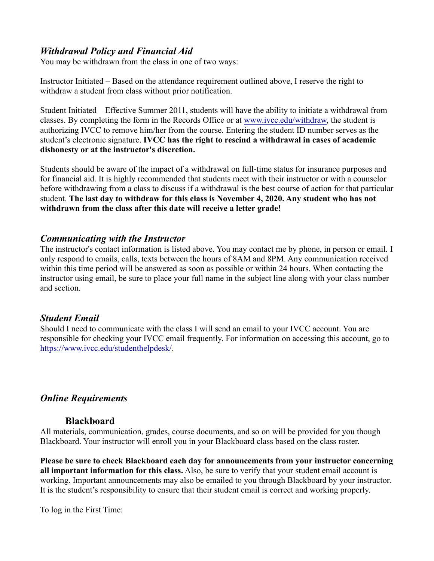### *Withdrawal Policy and Financial Aid*

You may be withdrawn from the class in one of two ways:

Instructor Initiated – Based on the attendance requirement outlined above, I reserve the right to withdraw a student from class without prior notification.

Student Initiated – Effective Summer 2011, students will have the ability to initiate a withdrawal from classes. By completing the form in the Records Office or at [www.ivcc.edu/withdraw,](http://www.ivcc.edu/withdraw) the student is authorizing IVCC to remove him/her from the course. Entering the student ID number serves as the student's electronic signature. **IVCC has the right to rescind a withdrawal in cases of academic dishonesty or at the instructor's discretion.**

Students should be aware of the impact of a withdrawal on full-time status for insurance purposes and for financial aid. It is highly recommended that students meet with their instructor or with a counselor before withdrawing from a class to discuss if a withdrawal is the best course of action for that particular student. **The last day to withdraw for this class is November 4, 2020. Any student who has not withdrawn from the class after this date will receive a letter grade!**

### *Communicating with the Instructor*

The instructor's contact information is listed above. You may contact me by phone, in person or email. I only respond to emails, calls, texts between the hours of 8AM and 8PM. Any communication received within this time period will be answered as soon as possible or within 24 hours. When contacting the instructor using email, be sure to place your full name in the subject line along with your class number and section.

### *Student Email*

Should I need to communicate with the class I will send an email to your IVCC account. You are responsible for checking your IVCC email frequently. For information on accessing this account, go to [https://www.ivcc.edu/studenthelpdesk/.](https://www.ivcc.edu/studenthelpdesk/)

### *Online Requirements*

#### **Blackboard**

All materials, communication, grades, course documents, and so on will be provided for you though Blackboard. Your instructor will enroll you in your Blackboard class based on the class roster.

**Please be sure to check Blackboard each day for announcements from your instructor concerning all important information for this class.** Also, be sure to verify that your student email account is working. Important announcements may also be emailed to you through Blackboard by your instructor. It is the student's responsibility to ensure that their student email is correct and working properly.

To log in the First Time: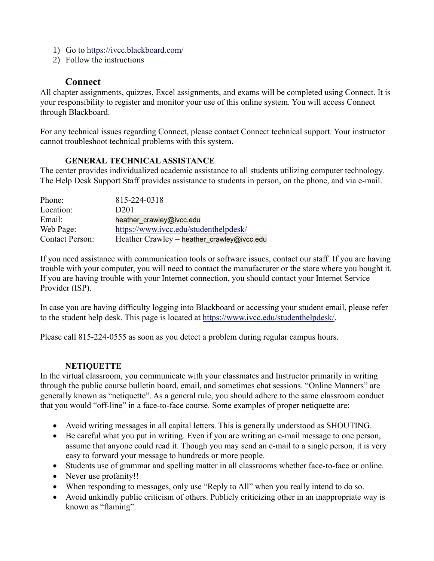- 1) Go to<https://ivcc.blackboard.com/>
- 2) Follow the instructions

#### **Connect**

All chapter assignments, quizzes, Excel assignments, and exams will be completed using Connect. It is your responsibility to register and monitor your use of this online system. You will access Connect through Blackboard.

For any technical issues regarding Connect, please contact Connect technical support. Your instructor cannot troubleshoot technical problems with this system.

#### **GENERAL TECHNICAL ASSISTANCE**

The center provides individualized academic assistance to all students utilizing computer technology. The Help Desk Support Staff provides assistance to students in person, on the phone, and via e-mail.

| Phone:                 | 815-224-0318                               |
|------------------------|--------------------------------------------|
| Location:              | D <sub>201</sub>                           |
| Email:                 | heather crawley@ivcc.edu                   |
| Web Page:              | https://www.ivcc.edu/studenthelpdesk/      |
| <b>Contact Person:</b> | Heather Crawley - heather_crawley@ivcc.edu |

If you need assistance with communication tools or software issues, contact our staff. If you are having trouble with your computer, you will need to contact the manufacturer or the store where you bought it. If you are having trouble with your Internet connection, you should contact your Internet Service Provider (ISP).

In case you are having difficulty logging into Blackboard or accessing your student email, please refer to the student help desk. This page is located at [https://www.ivcc.edu/studenthelpdesk/.](https://www.ivcc.edu/studenthelpdesk/)

Please call 815-224-0555 as soon as you detect a problem during regular campus hours.

#### **NETIQUETTE**

In the virtual classroom, you communicate with your classmates and Instructor primarily in writing through the public course bulletin board, email, and sometimes chat sessions. "Online Manners" are generally known as "netiquette". As a general rule, you should adhere to the same classroom conduct that you would "off-line" in a face-to-face course. Some examples of proper netiquette are:

- Avoid writing messages in all capital letters. This is generally understood as SHOUTING.
- Be careful what you put in writing. Even if you are writing an e-mail message to one person, assume that anyone could read it. Though you may send an e-mail to a single person, it is very easy to forward your message to hundreds or more people.
- Students use of grammar and spelling matter in all classrooms whether face-to-face or online.
- Never use profanity!!
- When responding to messages, only use "Reply to All" when you really intend to do so.
- Avoid unkindly public criticism of others. Publicly criticizing other in an inappropriate way is known as "flaming".